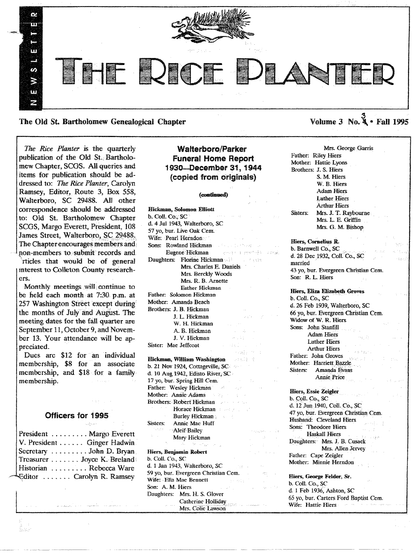

The Old St. Bartholomew Genealogical Chapter

*The Rice Planter* is the quarterly publication of the Old St. Bartholomew Chapter, SCGS. All queries and items for publication should be addressed to: *The Rice Planter,* Carolyn Ramsey, Editor, Route 3, Box 558, Walterboro, SC 29488. All other correspondence should be addressed to: Old St. Bartholomew Chapter SCGS, Margo Everett, President, 108 James Street, Walterboro, SC 29488. The Chapter encourages members and non-members to submit records and rtides that would be of general

mterest to CoUeton County researchers.

Monthly meetings will continue to be held each month at 7:30 p.m. at<br>257 Washington Street except during 257 Washington Street except during the months of July and August. The meeting dates for the fall quarter are September 11,October 9, and November 13. Your attendance will be appreciated.

Dues are \$12 for an individual membership, \$8 for an associate membership, and \$18 for a family membership.

# Officers for 1995

udva

| President  Margo Everett    |
|-----------------------------|
| V. President Ginger Hadwin  |
| Secretary  John D. Bryan    |
| Treasurer  Joyce K. Breland |
| Historian  Rebecca Ware     |
| Cditor  Carolyn R. Ramsey   |

# Walterboro/Parker **Funeral Home Report** 1930-December 31, 1944 (copied from originals)

#### (continued)

| Hickman, Solomon Elliott                                                                                                                                                                                                       |                                                           |
|--------------------------------------------------------------------------------------------------------------------------------------------------------------------------------------------------------------------------------|-----------------------------------------------------------|
| b. Coll. Co., SC                                                                                                                                                                                                               | $\alpha = \alpha \alpha + \alpha \alpha + \beta \alpha$ . |
| d. 4 Jul 1943, Walterboro, SC                                                                                                                                                                                                  |                                                           |
| 57 yo, bur. Live Oak Cem.                                                                                                                                                                                                      |                                                           |
| Wife: Pearl Herndon                                                                                                                                                                                                            | construction of the                                       |
| Sons: Rowland Hickman                                                                                                                                                                                                          |                                                           |
|                                                                                                                                                                                                                                | Eugene Hickman and a construction of                      |
| Daughters: Florine Hickman                                                                                                                                                                                                     |                                                           |
|                                                                                                                                                                                                                                | Mrs. Charles E. Daniels                                   |
| Mrs. Berckly Woods                                                                                                                                                                                                             |                                                           |
| Mrs. R. B. Arnette                                                                                                                                                                                                             |                                                           |
| <b>Esther Hickman</b>                                                                                                                                                                                                          |                                                           |
| Father: Solomon Hickman                                                                                                                                                                                                        |                                                           |
| Mother: Amanda Beach                                                                                                                                                                                                           |                                                           |
| Brothers: J. B. Hickman                                                                                                                                                                                                        |                                                           |
| J. L. Hickman                                                                                                                                                                                                                  | Sanda Cong                                                |
| W. H. Hickman                                                                                                                                                                                                                  |                                                           |
| A. B. Hickman                                                                                                                                                                                                                  | $\omega = \omega_{\rm F}$ .                               |
| J. V. Hickman                                                                                                                                                                                                                  | $44.144$ ( $10.14$                                        |
| Sister: Mae Jeffcoat                                                                                                                                                                                                           | $\omega$ -Helping<br>$\sim$ $\sim$                        |
|                                                                                                                                                                                                                                | sah (so)                                                  |
| <b>Hickman, William Washington Except State</b>                                                                                                                                                                                |                                                           |
| b. 21 Nov 1924, Cottageville, SC.                                                                                                                                                                                              |                                                           |
| d. 10 Aug 1942, Edisto River, SC                                                                                                                                                                                               |                                                           |
|                                                                                                                                                                                                                                | $\mathcal{A}^{\text{max}}_{\text{max}}$                   |
| 17 yo, bur. Spring Hill Cem.<br>Father: Wesley Hickman                                                                                                                                                                         |                                                           |
| Mother: Annie Adams                                                                                                                                                                                                            |                                                           |
| Brothers: Robert Hickman                                                                                                                                                                                                       |                                                           |
| Horace Hickman and the control of the state of the state of the state of the state of the state of the state of the state of the state of the state of the state of the state of the state of the state of the state of the st |                                                           |
| Burley Hickman                                                                                                                                                                                                                 |                                                           |
| Annie Mae Huff<br>Sisters:                                                                                                                                                                                                     |                                                           |
| <b>Aleif Bailey</b>                                                                                                                                                                                                            | President Co.                                             |
| Mary Hickman                                                                                                                                                                                                                   |                                                           |
| Andre Montger and                                                                                                                                                                                                              | ing and<br>Anggrip                                        |
| Hiers, Benjamin Robert                                                                                                                                                                                                         | e jaro zo                                                 |
| b. Coll. Co., SC                                                                                                                                                                                                               |                                                           |
| d. 1 Jan 1943, Walterboro, SC and a series of the series of the series of the series of the series of the series of the series of the series of the series of the series of the series of the series of the series of the seri |                                                           |
| 59 yo, bur. Evergreen Christian Cem.                                                                                                                                                                                           |                                                           |
| Wife: -Ella Mae Bennett                                                                                                                                                                                                        | $\mathcal{O}(\log P_{\rm eff})$                           |
| Son: A. M. Hiers                                                                                                                                                                                                               | $\alpha_{\rm eff} = 1.58$                                 |
| Daughters: Mrs. H. S. Glover                                                                                                                                                                                                   |                                                           |
|                                                                                                                                                                                                                                |                                                           |
|                                                                                                                                                                                                                                | Catherine Holliday<br>Mrs. Colie Lawson                   |
|                                                                                                                                                                                                                                |                                                           |

Mrs. George Garris Father: Riley Hiers Mother: Hattie Lyons Brothers: J. S. Hiers S. M. Hiers W. B. Hiers Adam Hiers Luther Hiers Arthur Hiers Sisters: Mrs. J. T. Raybourne Mrs. L E. Griffin Mrs. G. M. Bishop

Volume  $3 \text{ No. } 4 \cdot \text{ Fall } 1995$ 

Hiers, Cornelius R. b. Barnwell Co., SC d. 28 Dee 1932, Colt Co., SC married 43 yo, bur. Evergreen Christian Cem. Son: R. L Hiers

Hiers, Eliza Elizabeth Groves b. ColI. Co., SC d. 26 Feb 1939, Walterboro, SC 66 yo, bur. Evergreen Christian Cern. Widow of W. R. Hiers Sons: John Stanfill Adam Hiers Luther Hiers Arthur Hiers Father: John Groves Mother: Harriett Bazzle Sisters: Amanda Evans Annie. Price

Hiers, Essie Zeigler b. Coll. Co., SC d. 12 Jun 1940, Coll. Co., SC 47 yo, bur. Evergreen Christian Cem. Husband: Cleveland Hiers Sons: Theodore Hiers Haskall Hiers Daughters: Mrs. J. B. Cusack Mrs. Allen Jervey Father: Cape Zeigler Mother: Minnie Herndon

Hiers, George Felder, Sr. b. Coli. Co., SC d. 1 Feb 1936, Ashton, SC 65 yo, bur. Carters Ford Baptist Cern. Wife: Hattie-Hiers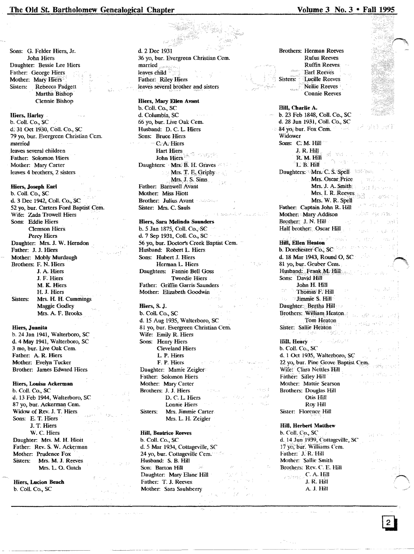# The Old St. Bartholomew Genealogical Chapter

#### Sons: G. Felder Hiers, Jr. John Hiers Daughter: Bessie Lee Hiers Father: George Hiers Mother: Mary Hiers Rebecca Padgett Sisters: Martha Bishop Clennie Bishop

#### Hiers, Harley

b. Coll. Co., SC d. 31 Oct 1930, Coll. Co., SC 79 yo, bur. Evergreen Christian Cem. married leaves several children Father: Solomon Hiers Mother: Mary Carter leaves 4 brothers, 2 sisters

#### Hiers, Joseph Earl

b. Coll. Co., SC d. 3 Dec 1942, Coll. Co., SC 52 vo. bur. Carters Ford Baptist Cem. Wife: Zada Trowell Hiers Sons: Eddie Hiers **Clemson Hiers** Percy Hiers Daughter: Mrs. J. W. Herndon Father: J. J. Hiers Mother: Mobly Murdaugh Brothers: F. N. Hiers J. A. Hiers J. F. Hiers M. K. Hiers H. J. Hiers Sisters: Mrs. H. H. Cummings Maggie Godley Mrs. A. F. Brooks

## **Hiers**, Juanita

b. 24 Jan 1941, Walterboro, SC d. 4 May 1941, Walterboro, SC 3 mo. bur. Live Oak Cem. Father: A. R. Hiers Mother: Evelyn Tucker Brother: James Edward Hiers

Hiers, Louisa Ackerman b. Coll. Co., SC d. 13 Feb 1944, Walterboro, SC 87 yo, bur. Ackerman Cem. Widow of Rev. J. T. Hiers Sons: E. T. Hiers J. T. Hiers W. C. Hiers Daughter: Mrs. M. H. Hiott Father: Rev. S. W. Ackerman Mother: Prudence Fox Sisters: Mrs. M. J. Reeves Mrs. L. O. Gatch

Hiers, Lucion Beach b. Coll. Co., SC

d. 2 Dec 1931 36 yo, bur. Evergreen Christian Cem. married leaves child Father: Riley Hiers leaves several brother and sisters

#### Hiers, Mary Ellen Avant

b. Coll. Co., SC d. Columbia, SC 66 vo. bur. Live Oak Cem. Husband: D. C. L. Hiers Sons: Bruce Hiers - C. A. Hiers **Hart Hiers** John Hiers  $\approx$ Daughters: Mrs. B. H. Graves Mrs. T. E. Griphy Mrs. J. S. Sims Father: Barnwell Avant Mother: Miss Hiott **Brother: Julius Avant** Sister: Mrs. C. Sauls

#### Hiers, Sara Melinda Saunders

b. 5 Jan 1875, Coll. Co., SC d. 7 Sep 1931, Coll. Co., SC 56 yo, bur. Doctor's Creek Baptist Cem. Husband: Robert L. Hiers Sons: Hubert J. Hiers Herman L. Hiers Daughters: Fannie Bell Goss Tweedie Hiers Father: Griffin Garris Saunders Mother: Elizabeth Goodwin

#### Hiers, S. J.

b. Coll. Co., SC d. 15 Aug 1935, Walterboro, SC 81 yo, bur. Evergreen Christian Cem. Wife: Emily R. Hiers Sons: Henry Hiers **Cleveland Hiers** L. P. Hiers F. P. Hiers Daughter: Mamie Zeigler Father: Solomon Hiers Mother: Mary Carter Brothers: J. J. Hiers D. C. L. Hiers Lonnie Hiers Sisters: Mrs. Jimmie Carter Mrs. L. H. Zeigler

## **Hill, Beatrice Reeves**

b. Coll. Co., SC d. 5 Mar 1934, Cottageville, SC 24 yo, bur. Cottageville Cem." Husband: S. B. Hill Son: Barton Hill Daughter: Mary Elane Hill Father: T. J. Reeves Mother: Sara Saulsberry

**Brothers: Herman Reeves Rufus Reeves Ruffin Reeves Earl Reeves Lucille Reeves** Sisters: Nellie Reeves · **Connie Reeves** 

## Hill. Charlie A. b. 23 Feb 1848, Coll. Co., SC d. 28 Jun 1931, Coll. Co., SC  $-84$  yo, bur. Fox Cem. Widower Sons: C. M. Hill J. R. Hill R. M. Hill L B. Hill Daughters: Mrs. C. S. Spell Mrs. Oscar Price Mrs. J. A. Smith Mrs. I. R. Reeves Mrs. W. R. Spell Father: Captain John R. Hill Mother: Mary Addison Brother: J. N. Hill Half brother: Oscar Hill **Hill, Ellen Heaton** b. Dorchester Co., SC d. 18 Mar 1943. Round O. SC 81 yo, bur. Gruber Cem. Husband: Frank M. Hill Sons: David Hill John H. Hill Thomas F. Hill Jimmie S. Hill Daughter: Bertha Hill

Brothers: William Heaton Tom Heaton Sister: Sallie Heaton

Hill, Henry b. Coll. Co., SC d. 1 Oct 1935, Walterboro, SC 22 yo, bur. Pine Grove Baptist Cem. Wife: Clara Nettles Hill Father: Sifley Hill Mother: Mattie Searson **Brothers: Douglas Hill** Otis Hill Roy Hill Sister: Florence Hill

#### **Hill. Herbert Matthew**

b. Coll. Co., SC d. 14 Jun 1939, Cottageville, SC 17 yo, bur. Williams Cem. Father: J. R. Hill Mother: 'Sallie Smith Brothers: Rev. C. E. Hill  $C$ , A. Hill **J. R. Hill** A. J. Hill

# Volume 3 No. 3 . Fall 1995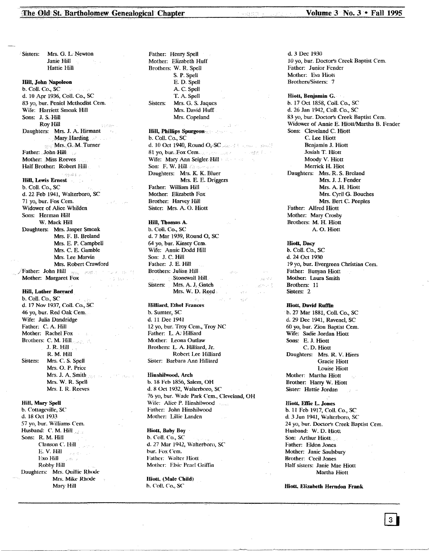Sisters: Mrs. G. L. Newton Janie Hill Hattie Hill Hill, John Napoleon b. Call. Co., SC d. 10 Apr 1936, ColI. Co., SC 83 vo, bur. Peniel Methodist Cem. Wife: Harriett Smoak Hill Sons: J. S.Hill Roy Hill Daughters: Mrs. J. A Hirmant Mary Harding Mrs. G. M. Turner Father: John Hill Mother: Miss Reeves Half Brother. Robert Hill .<br>Franklin Hill, Lewis Ernest b. Coil. Co., SC d. 22 Feb 1941, Walterboro, SC 71 vo, bur. Fox Cem. Widower of Alice Whilden Sons: Herman Hill W. Mack Hill Daughters: Mrs. Jasper Smoak Mrs. F. B. Breland Mrs. E. P. Campbell Mrs. C. E. Gamble Mrs. Lee Marvin Mrs. Robert Crawford Father: John Hill Seppe Format Constanting . Mother: Margaret Fox Hill, Luther Barrard b. Coil. Co., SC d. 17 Nav 1937, Coil. Co.,SC 46 yo, bur. Red Oak Cem. Wife: Julia Dandridge Father: C. A. Hill Mother: Rachel Fox Brothers: C. M. Hill. J. R. Hill ... R. M. Hill Sisters: Mrs. C. S. Spell Mrs. O. P. Price Mrs. J. A. Smith Mrs. W. R. Spell Mrs. I. R. Reeves Hill, Mary Spell b. Cottageville, SC d. 18 Oct 1933 57 yo, bur. Williams Cem. Husband: C. M. Hill Sons: R. M. Hill Clanson C. Hill E. V. Hill $\| \cdot \|_{\mathbb{R}^d \times \mathbb{R}^d \times \mathbb{R}^d}$ ExoHili Robby Hill

Daughters: Mrs. Quillie Rhode Mrs. Mike Rhode Mary Hill

Father: Henry Spell Mother: Elizabeth Huff Brothers: W. R. Spell S. P. Spell E. D. Spell A C. Spell T. A Spell Sisters: Mrs. G. S. Jaques Mrs. David Huff Mrs. Copeland

Hill, Phillips Spurgeonccc.

b. Call. Co., SC d. 10 Oct 1940, Round O, SC Annell Leonard Bealt 81 yo, bur. Fox Cemera Cardinal and a comparation Wife: Mary Ann Seigler Hill and the control of Son: F. W. Hill of the space Daughters: Mrs. K. K. Bluer Mrs. E. E. Driggers Father: William Hill Mother: Elizabeth Fox Brother: Harvey Hill Sister: Mrs. A. O. Hiott

Hill, Thomas A. b. ColI. Co., SC d. 7 Mar 1939, Round 0, SC 64 yo, bur. Kinsey Cern. Wife: Annie Dodd Hill Son: J. C. Hill Father: J. E. Hill Brothers: Julian Hill Stonewall Hill لالاحين Sisters: Mrs. A. J. Gatch  $\mathcal{A} \sim \mathcal{A}$ Mrs. W. D. Reed.

Hilliard. Ethel Frances b. Sumter, SC d. 11 Dee 1941 12 yo, bur. Troy Cem., Troy NC Father: L A: Hilliard Mother: Leona Outlaw Brothers: L A. Hilliard, Jr. Robert Lee Hilliard Sister: Barbara Ann Hilliard

Hinshilwood, Arch b. 18 Feb 1856, Salem, OH d. 8 Oct 1932, Walterboro, SC 76 vo, bur. Wade Park Cem., Cleveland, OH Wife: Alice P. Hinshilwood ويربره Father: John Hinshilwood Mother: Lillie Landen

------------- -----------------------------~--- ----------------------"-\_.\_--\_ ..

Hiott, Baby Boy b. Coli. Co., SC d.27 Mar 1942, Walterboro, SC bur. Fox Cem. Father: Walter Hiott Mother: Elsie Pearl Griffin

Hiott. (Male Child) b. CoIl. co.,se

d.3 Dee 1930 10 yo, bur. Doctor's Creek Baptist Cem. Father: Junior Fender Mother: Eva Hiotl Brothers/Sisters: 7

Hiott, Benjamin G. b. 17 Oct 1858, Coli. Co., SC d. 26 Jan 1942, Coli. Co., SC 83 yo, bur. Doctor's Creek Baptist Cem. Widower of Annie E. Hiott/Martha B. Fender Sons: Cleveland C. Hiott C. Lee Hiott Benjamin J. Hiott Josiah T. Hiott Moody V. Hiott Merrick H. Hiot Daughters: Mrs. R. S. Breland Mrs. J. J. Fender Mrs. A H. Hiott Mrs. Cyril G. Bouches Mrs. Bert C. Peeples Father: Alfred Hiott Mother: Mary Crosby Brothers: M. H. Hiott A. O. Hiott

Hiott, Dacy b. Coil. Co., SC d. 24 Oct 1930 19 yo, bur. Evergreen Christian Cem. Father: Bunyan Hiott Mother: Laura Smith Brothers: 11 Sisters: 2

# Hiott, David Ruffin

b. 27 Mar 1881, Coli. Co., SC d. 29 Dee 1941, Ravenel, SC 60 yo, bur. Zion Baptist Cern. Wife: Sadie Jordan Hiott Sons: E. J. Hiott C. D. Hiott Daughters: Mrs. R. V. Hiers Gracie Hiott Louise Hiott Mother: Martha Hiott Brother: Harry W. Hiott Sister: Hattie Jordan

Hiott, Effie L. Jones b. 11 Feb 1917, ColI. Co., SC d 3 Jun 1941, Walterboro, SC 24 yo, bur. Doctor's Creek Baptist Cern. Husband: W. D. Hiott Son: Arthur Hiott.... Father: Eldon Jones Mother: Janie Saulsbury Brother: Cecil Jones Half sisters: Janie Mae Hiott Martha Hiott

Hiott, Elizabeth Herndon Frank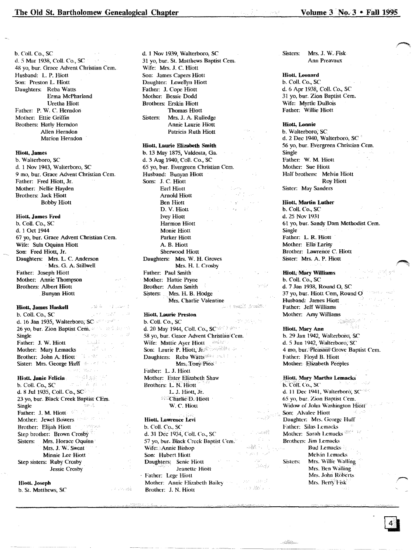b. Coli. CO., SC d.5 Mar 1938, Coli. Co., SC 48 yo, bur. Grace Advent Christian Cern. Husband: L. P. Hiott Son: Preston L Hiott Daughters: Reba Watts Erma McPhariand Uretha Hiott Father: P. W. C. Herndon Mother: Ettie Griffin Brothers: Harly Herndon Allen Herndon Marion Herndon

#### Hiott., James

b. Walterboro, SC d. 1 Nov 1943, Walterboro, SC 9 mo, bur. Grace Advent Christian Cem. Father: Fred Hiott, Jr. Mother: Nellie Hayden Brothers: Jack Hiott Bobby Hiott

#### Hiott, James Fred b. Coil. Co., SC

d. 1 Oct 1944 67 yo, bur. Grace Advent Christian Cern. Wife: Sula Oquinn Hiott Son: Fred Hiott, Jr. Daughters: Mrs. L. C. Anderson Mrs. G. A. Stillwell Father: Joseph Hiott Mother: Annie Thompson Brothers: Albert Hiott Bunyan Hiott

心酸度 计字母运行

s Portugale

#### Hiott, James Haskell

 $\label{eq:1} \mathcal{L}_{\mathcal{A}}(\mathbf{x}) = \mathcal{L}_{\mathcal{A}}(\mathbf{x}) + \sum_{i=1}^n \sum_{j=1}^n \mathcal{L}_{\mathcal{A}}(\mathbf{x}) \mathcal{L}_{\mathcal{A}}(\mathbf{x})$ b. Coli. Co., SC d. 16 Jan 1935, Walterboro; SC and the first 26 yo, bur. Zion Baptist Cem.  $\mathbb{R}^n$  . contains the state of Single Single Father: J. W. Hiott tagli c Mother: Mary Lemacks Brother: John A. Hiott and the con-Sister: Mrs. George Huff 2008 (中国) 夏欧 Hiott. Janie Felicia b. Coil. Co., SC iunus Alge d. 8 1u11935, ColI. Co., SC 23 yo, bur. Black Creek Baptist CEm. Single inger (f. Father: J. M. Hiott Mother: Jewel Bowers (2002) 27 and Brother: Elijah Hiott Step brother: Brown Crosby Sisters: Mrs. Horace Oquinn Mrs. J. W. Sweat Minnie Lee Hiott Step sisters: Ruby Crosby Jessie Crosby

#### Hiott. Joseph

b. S1. Matthews, SC

d. 1 Nov 1939, Walterboro, SC 31 yo, bur. St. Matthews Baptist Cem. Wife: Mrs. J. C. Hiott Son: James Capers Hiott Daughter: Lewellyn Hiott Father: J. Cope Hiott Mother: Bessie Dodd Brothers: Erskin Hiott Thomas Hiott Sisters: Mrs. J. A. Rulledge Annie Laurie Hiott Patricia Ruth Hiott

#### Hiott. l.aurie Elizabeth Smith

b. 13 May 1875, Valdosta, Ga. d. 3 Aug 1940, Coli. CO.,SC 65 yo, bur. Evergreen Christian Cem. Husband: Bunyan Hiott Sons: J. C. Hiott Earl Hiott in and Arnold Hiott Ben Hiott D. V. Hiott lvey Hiott Harmon Hiott Monie Hiott Parker Hiott A. B. Hiott Sherwood Hiott Daughters: Mrs. W. H. Groves Mrs. H. I. Crosby Father: Paul Smith· Mother: Hattie Pryne Brother: Adam Smith Sisters: Mrs. H. B. Hodge Mrs. Charlie Valentine  $\Delta_{\rm B}$  and  $\Delta_{\rm B}$ 

# Hiott, Laurie Preston

b. Coli. Co., SC d. 20 May 1944, Coll. Co., SC<sup>(2013)</sup> Williams 58 yo, bur. Grace Advent Christian Cem. Wife: Mattie Ayer Hiott Son: Laurie P. Hiott, Jr/:: Daughters: Reba Watts's and the con-Mrs; Tony Pico Father: L. 1. Hiott Mother: Ester Elizabeth Shaw Brothers: L. N. Hiott L J. Hiott, Jr. Charlie D. Hiott W. C. Hiott

Hiott. Lawrence Levi b. Coli. Co., SC d. 31 Dec 1934, Coll. Co., SC **SECULARE** i vi vodeli ist e 57 yo, bur. Black Creek Baptist Cem. Wife:.· Annie Bishop 毒素 2.  $\Sigma_{\rm pDM}$ Son: Hubert Hiott Daughters: Senie Hiott in avet l Jeanette Hiott Father: Lege Hiott Mother: Annie Elizabeth Bailey (1999), 2007 (2003) card Books Brother: J. N. Hiott

Sisters: Mrs. J. W.Fisk Ann Preavaux

#### Hiott. Leonard

b. ColI. Co., SC d. 6 Apr 1938, Coli. Co., SC 31 yo, bur. Zion Baptist Cern. Wife: Myrtle DuBois Father: Willie Hiott

#### Hiott, Lonnie

b. Walterboro; SC d. 2 Dec 1940, Walterboro, SC<sup>+</sup> 56 yo, bur. Evergreen Christian Cem. Single Father: W. M. Hiott Mother: Sue Hiott Half brothers: Melvin Hiott Roy Hiott Sister: May Sanders

Hiott. Martin Luther

b. Coli. Co., SC d. 25 Nov1931 61 yo, bur. Sandy Dam Methodist Cern. Single Father: L. R. Hiott Mother: Ella Larisy Brother: Lawrence C. Hiott Sister: Mrs. A. P. Hiott

#### Hiott, Mary Williams

b. Coil. Co., SC d. 7 Jan 1938, Round 0, SC 37 yo, bur. Hiott Cem, Round 0 Husband: James Hiott Father: Jeff Williams Mother: Amy Williams

Hiott., Mary Ann b. 29 Jan 1942, Walterboro, SC d. 5 Jun 1942, Walterboro, SC 4 mo, bur. Pleasant Grove Baptist Cem. Father: Floyd B. Hiott Mother: Elizabeth Peeples

Hiott, Mary Martha Lemacks b. Coll. Co., SC d. 11 Dec 1941, Walterboro, SC<sup>267</sup> ,(,5 yo, bur. Zion Baptist Cern. Widow of John Washington Hiott Son: Alvalee Hiott Daughter: Mrs. George Huff Father: Silas Lemacks Mother: Sarah Lemacks<sup>4884</sup> Brothers: Jim l.emaeks **Bud Lemacks** Melvin Lemacks Sisters: Mrs. Willie Walling Mrs. Ben Walling Mrs. John Roberts Mrs. Berry Fisk 131

 $\mathcal{A}^{\text{intra}}_{\text{intra}}$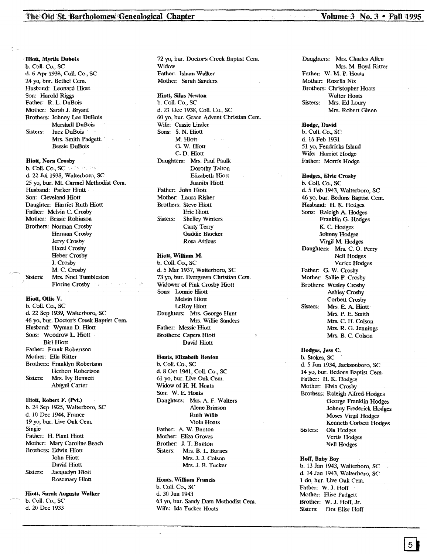Hiott, Myrtle Dubois b. Coli. Co., SC d. 6 Apr 1938, ColI. Co., SC 24 yo, bur. Bethel Cem. Husband: Leonard Hiott Son: Harold Riggs Father: R. L. DuBois Mother: sarah J. Bryant Brothers: Johnny Lee DuBois Marshall DuBois Sisters: Inez DuBois Mrs. Smith Padgett Bessie DuBois

Hiott, Nora Crosby

b. Coil. Co.,SC d. 22 Jul 1938, Walterboro, SC 25 yo, bur. Mt. Carmel Methodist Cem. Husband: Parker Hiott Son: Cleveland Hiott Daughter: Harriet Ruth Hiott Father: Melvin C. Crosby Mother: Bessie Robinson Brothers: Norman Crosby Herman Crosby Jervy Crosby Hazel Crosby Heber Crosby J. Crosby M. C. Crosby Sisters: Mrs. Noel Turnbleston Florine Crosby

#### Hiott, Ollie V.

b. Call. Co., SC d. 22 Sep 1939, Walterboro, SC 46 yo, bur. Doctor's Creek Baptist Cern. Husband: Wyman D. Hiott Sons: Woodrow L. Hiott Birl Hiott Father: Frank Robertson Mother: Ella Ritter Brothers: Franklyn Robertson Herbert Robertson Sisters: Mrs. Ivy Bennett Abigail Carter

#### Hiott, Robert F. (Pvt.) b. 24 Sep 1925, Walterboro, SC

d. 10 Dec 1944, France 19 yo, bur. Live Oak Cern. Single Father: H. Plant Hiott Mother: Mary Caroline Beach Brothers: Edwin Hiott John Hiott David Hiott Sisters: Jacquelyn Hiott Rosemary Hiott

## Hiott, Sarah Augusta Walker

b. Coil. Co., SC d.20 Dee 1933

72 yo, bur. Doctor's Creek Baptist Cern. Widow Father: Isham Walker Mother: Sarah Sanders

Hiott, Silas Newton b. Call. Co., SC d. 21 Dee 1938, Coil. Co., SC 60 yo, bur. Grace, Advent Christian Cern. Wife: Cassie Linder Sons: S. N. Hiott M. Hiott G. W. Hiott C. D. Hiott Daughters: Mrs. Paul Paulk Dorothy Talton Elizabeth Hiott Juanita Hiott Father: John Hiott Mother: Laura Risher Brothers: Steve Hiott Eric Hiott Sisters: Shelley Winters Canty Terry Gaddie Blocker Rosa Atticus

#### Hiott, William M. b. Coll. Co., SC

d. 5 Mar 1937, Walterboro, SC 73 yo, bur. Evergreen Christian Cem. Widower of Pink Crosby Hiott Sons: Lonnie Hiott Melvin Hiott LeRoy Hiott Daughters: Mrs. George Hunt Mrs. Willie Sanders Father: Messic Hiott Brothers: Capers Hiott David Hiott

Hoats, Elizabeth Benton b. Coli. Co., SC d. 8 Oct 1941, ColI. Co., SC 61 yo, bur. Live Oak Cern. Widow of H. H. Hoats Son: W. E. Hoats Daughters: Mrs. A F. Walters Alene Brinson Ruth Willis Viola Hoats Father: A. W. Bunton Mother: Eliza Groves Brother: J. T. Bunton Sisters: Mrs. B. L. Barnes Mrs. J. J. Colson Mrs. J. B. Tucker

# Hoats. William Francis

b. Coil. Co., SC d. 30 Jun 1943 63 yo, bur. Sandy Dam Methodist Cem. Wife: Ida Tucker Hoats

Daughters: Mrs. Charles Allen Mrs. M. Boyd Ritter Father: W. M. P. Hoats Mother: Rosella Nix Brothers: Christopher Hoats Walter Hoats Sisters: Mrs. Ed Loury Mrs. Robert Glenn

Hodge, David b. Coil. Co., SC d. 16 Feb 1931 51 yo, Fendricks Island Wife: Harriet Hodge

Father: Morris Hodge

Hodges, Elvie Crosby b. ColI. Co., SC d. 5 Feb 1943, Walterboro, SC 46 yo, bur. Bedons Baptist Cem. Husband: II. K. Hodges Sons: Raleigh A. Hodges Franklin G. Hodges K. C. Hodges Johnny Hodges Virgil M. Hodges Daughters: Mrs. C. O. Perry Nell Hodges Verice Hodges Father: G. W. Crosby Mother: sallie P. Crosby Brothers: Wesley Crosby Ashley Crosby Corbett Crosby Sisters: Mrs. E. A. Hiott Mrs. P. E. Smith Mrs. C. H. Colson Mrs. R. G. Jennings Mrs. B. C. Colson

Hodges, Jess C. b. Stokes, SC d. 5 Jun 1934, Jacksonboro, SC 14 yo, bur. Bedons Baptist Cem. Father: H. K. Hodges Mother: Elvia Crosby Brothers: Raleigh A1fred·Hodges George Franklin Hodges Johnny Frederick Hodges Moses Virgil Hodges Kenneth Corbett Hodges Sisters: Ola Hodges Vertis Hodges Nell Hodges

#### Hoff, Baby Boy

b. 13 Jan 1943, Walterboro, SC d. 14 Jan 1943, Walterboro, SC 1 do, bur. Live Oak Cern. Father: W. J. Hoff Mother: Elise Padgett Brother: W. J. Hoff, Jr. Sisters: Dot Elise Hoff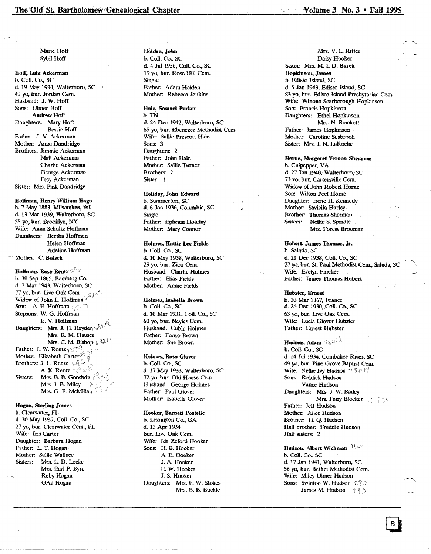Marie Hoff Sybil Hoff

Hoff, Lula Ackerman b. CoiL Co., SC d. 19 May 1934, Walterboro, SC 40 yo, bur. Jordan Cern. Husband: J. W. Hoff Sons: Ulmer Hoff Andrew Hoff Daughters: Mary Hoff Bessie Hoff Father: J. V. Ackerman Mother: Anna Dandridge Brothers: Jimmie Ackerman Mall Ackerman Charlie Ackerman George Ackerman Frey Ackerman Sister: Mrs. Pink Dandridge

Hoffman, Henry William Hugo b. 7 May 1883, Milwaukee, WI d. 13 Mar 1939, Walterboro, SC 55 yo, bur. Brooklyn, NY Wife: Anna Schultz Hoffman Daughters: Bertha Hoffman Helen Hoffman Adeline Hoffman Mother: C. Butsch

Hoffman, Rosa Rentz b. 30 Sep 1865, Bamberg Co. d. 7 Mar 1943, Walterboro, SC 77 yo, bur. Live Oak Cem.<br>Widow of John L. Hoffmar Son: A. E. Hoffman Stepsons: W. G. Hoffman E. V. Hoffman Daughters: Mrs. J. H. Hayden  $\sqrt{\frac{1}{6}}$ Mrs. R. M. Hauser **Mrs. C. M. Bishop**  $\{e^{Q_{\mu}^2}\}$ <br>Father: I. W. Rentz  $\int_{\mathbb{R}^2}$   $\int_{\mathbb{R}^2}$ rather: I. W. Rentz<sub>3, s.</sub>;<br>Mother: Elizabeth Carter<sup>26</sup> Brothers: J. L. Rentz  $\mathcal{A}$ A. K. Rentz  $\sqrt{2\pi}$ Sisters: Mrs. B. B. Goodwin Mrs. J. B. Miley Mrs. G. F. McMillan

Hogan, Sterling James b. Clearwater, FL d.30 May 1937, Coil. Co., SC 27 yo, bur. Clearwater Cern., FL Wife: Iris Carter Daughter: Barbara Hogan Father: L. T. Hogan Mother: Sallie Wallace Sisters: Mrs. L D. Locke Mrs. Earl P. Byrd Ruby Hogan GAil Hogan

HOlden, John b. Coil. Co., sc d. 4 Jul 1936, Coil Co., SC 19 yo, bur. Rose Hill Cern. Single Father: Adam Holden Motber: Rebecca Jenkins

Hale, Samuel Parker

b. TN d. 24 Dee 1942, Walterboro, SC 65 yo, bur. Ebenezer Methodist Cern. Wife: Sallie Prescott Hale Sons: 3 Daughters: 2 Father: John Hale Mother: Sallie Turner Brothers: 2 Sister: 1

Holiday, John Edward b. Summerton, SC d. 6 Jan 1936, Columbia, SC Single Father: Ephram Holiday Mother: Mary Connor

Holmes, Hattle Lee Fields b. Coli. Co., SC d. 10 May 1938, Walterboro, SC 29 yo, bur. Zion Cern. Husband: Charlie Holmes Father: Elias Fields Mother: Annie Fields

Holmes, Isabella Brown b. Call. Co., SC d. 10 Mar 1931, Call. Co., SC 60 yo, bur. Neyles Cern. Husband: Cubin Holmes Father: Fonso Brown Mother: Sue Brown

Holmes, Rosa Glover b. ColI. Co., SC d. 17 May 1933, Walterboro, SC 72 yo, bur. Old House Cern. Husband: George Holmes Father: Paul Glover Mother: Isabella Glover

#### Hooker, Barnett Postelle b. Lexington Co., GA d. 13 Apr 1934 bur. Live Oak Cem. Wife: Ida Zeford Hooker Sons: H. B. Hooker A. E. Hooker J. A. Hooker E. W. Hooker J. S. Hooker Daughters: Mrs. F. W. Stokes Mrs. B. B. Buckle

Mrs. V. L. Ritter Daisy Hooker Sister: Mrs. M. 1. D. Burch Hopkinson, James b. Edisto Island, SC d. 5 Jan 1943, Edisto Island, SC 83 yo, bur. Edisto Island Presbyterian Cern. Wife: Winona Scarborough Hopkinson Son: Francis Hopkinson Daughters: Ethel Hopkinson Mrs. N. Brackett Father: James Hopkinson Mother: Caroline Seabrook Sister: Mrs. J. N. LaRoche

Home, Margaret Vernon Shennan b. Culpepper, VA d. 27 Jan 1940, Walterboro, SC 73 yo, bur. Cartersville Cern. Widow of John Robert Home Son: Wilton Peel Home Daughter: Irene H. Kennedy Mother: Saviella Harley Brother: Thomas Sherman Sisters: Nellie S. Spindle Mrs. Forest Brooman

Huhert, James Thomas, Jr. b. Saluda, SC d. 21 Dee 1938, Coli. Co., SC 27 vo, bur. St. Paul Methodist Cem., Saluda, SC Wife: Evelyn Fincher Father: James Thomas Hubert

Hubster, Ernest b. 10 Mar 1867, France d. 26 Dee 1930, CoIl. Co., SC 63 yo, bur. Live Oak Cern. Wife: Lucia Glover Hubster Father: Ernest Hubster

Hudson, Adam 28075 b. Coil. Co., SC d. 14 Jul 1934, Combahee River, SC 49 yo, bur. Pine Grove Baptist Cem. Wife: Nellie Ivy Hudson  $\sqrt{8}$  0 19 Sons: Riddick Hudson Vance Hudson Daughters: Mrs. J. W; Bailey Mrs. Fairy Blocker Father: Jeff Hudson Mother: Alice Hudson Brother: H. Q. Hudson Half brother: Freddie Hudson Half sisters: 2

Hudson, Albert Wichman  $\mathbb{W}$ b. ColI. Co., SC d. 17 Jan 1941, Walterboro, SC 56 yo, bur. Bethel Methodist Cern. Wife: Miley Ulmer Hudson Sons: Swinton W. Hudson  $\mathcal{L} \gamma \mathcal{D}$ James M. Hudson 235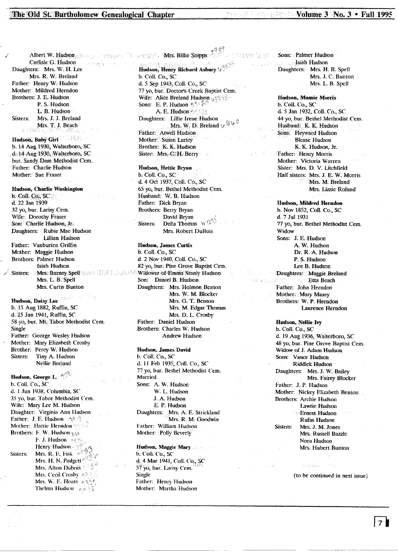**PASSAS** 

Albert W. Hudson Carlisle G. Hudson Daughters: Mrs. W. H. Lee Mrs. R. W. Breland Father: Henry W. Hudson Mother: Mildred Herndon Brothers: J. E. Hudson P. S. Hudson L. B. Hudson Mrs. J. J. Breland Sisters: Mrs. T. J. Beach shiridas

Hudson, Baby Girl b. 14 Aug 1930, Walterboro, SC d. 14 Aug 1930, Walterboro, SC bur. Sandy Dam Methodist Cem. Father: Charlie Hudson Mother: Sue Fraser

**Hudson, Charlie Washington** b. Coll. Co., SC d. 22 Jan 1939 32 yo, bur. Larisy Cem. Wife: Dorothy Fraser Son: Charlie Hudson, Jr. Daughters: Rubie Mae Hudson Lillian Hudson Father: Vanburien Griffin Mother: Maggie Hudson **Brothers: Palmer Hudson** Isiah Hudson Sisters: Mrs: Barney Spell Research Hold Color Mrs. L. B. Spell Mrs. Curtis Bunton

Hudson, Daisy Lee b. 15 Aug 1882, Ruffin, SC d. 25 Jan 1941, Ruffin, SC 58 vo. bur. Mt. Tabor Methodist Cem. **Single** Father: George Wesley Hudson Mother: Mary Elizabeth Crosby Brother: Percy W. Hudson Sisters: Tiny A. Hudson Nellie Breland

Hudson, George L. A b. Coll. Co., SC d. 1 Jun 1938, Columbia, SC 35 yo, bur. Tabor Methodist Cem. Wife: Mary Lee M. Hudson Daughter: Virginia Ann Hudson Father: J. E. Hudson  $\eta \otimes \langle \hat{\cdot} \rangle$ Mother: Hattie Herndon Brothers: F. W. Hudson  $\gamma$ . F. J. Hudson 49%1 Henry Hudson Mrs. R. E. Fisk  $\phi$ Sisters: Mrs. H. N. Padgett Mrs. Alton Dubois  $\mathbb{C}^3$ Mrs. Cecil Crosby and Mrs. W. E. Hoats Assis Thelma Hudson An S

Mrs. Billie Snipps 오셨으면 [ Hudson, Henry Richard Asbury & b. Coll. Co., SC d. 5 Sep 1943, Coll. Co., SC 77 yo, bur. Doctor's Creek Baptist Cem. Wife: Alice Breland Hudson was 35 Sons: E. P. Hudson  $\gamma \wedge \mathbb{A}$ A. E. Hudson of 159 Daughters: Lillie Irene Hudson Mrs. W. D. Breland  $\psi$   $\mathbb{W}^0$ Father: Atwell Hudson Mother: Susan Laricy Brother: K. K. Hudson Sister: Mrs. C. H. Berry

Hudson, Hettie Bryan b. Coll. Co., SC d. 4 Oct 1937, Coll. Co., SC 65 vo, bur. Bethel Methodist Cem. Husband: W. B. Hudson Father: Dick Bryan Brothers: Berry Bryan David Bryan **Della Thomas**  $\sqrt{8}$ Sisters: Mrs. Robert DuBois

**Hudson, James Curtis** b. Coll. Co., SC d. 2 Nov 1940, Coll. Co., SC 82 yo, bur. Pine Grove Baptist Cem. Widower of Emma Stanly Hudson Son: Daniel B. Hudson Daughters: Mrs. Holmon Benton Mrs. W. M. Blocker Mrs. G. T. Benton Mrs. M. Edgar Thomas Mrs. D. L. Crosby Father: Daniel Hudson Brothers: Charles W. Hudson **Andrew Hudson** 

**Hudson, James David** b. Coll. Co., SC d. 11 Feb 1935, Coll. Co., SC 77 yo, bur. Bethel Methodist Cem. Married Sons: A. W. Hudson W. L. Hudson J. A. Hudson E. P. Hudson Daughters: Mrs. A. E. Strickland Mrs. R. M. Goodwin Father: William Hudson Mother: Polly Beverly

Hudson, Maggie Mary b. Coll. Co., SC d. 4 Mar 1941, Coll. Co., SC 57 yo, bur. Larisy Cem. Single Father: Henry Hudson Mother: Martha Hudson

Sons: Palmer Hudson Isiah Hudson Daughters: Mrs. H. B. Spell Mrs. J. C. Bunton Mrs. L. B. Spell

Hudson, Mamie Morris b. Coll. Co., SC d. 5 Jan 1932, Coll. Co., SC 44 yo, bur. Bethel Methodist Cem. Husband: K. K. Hudson Sons: Heyward Hudson **Blease Hudson** K. K. Hudson, Jr. Father: Henry Morris Mother: Victoria Warren Sister: Mrs. D. V. Litchfield Half sisters: Mrs. J. E. W. Morris Mrs. M. Breland Mrs. Lizzie Roland

**Hudson, Mildred Herndon** b. Nov 1852, Coll. Co., SC d. 7 Jul 1931 77 yo, bur. Bethel Methodist Cem. Widow Sons: J. E. Hudson A. W. Hudson Dr. R. A. Hudson P. S. Hudson Lee B. Hudson Daughters: Maggie Breland **Etta Beach** Father: John Herndon Mother: Mary Maxev Brothers: W. P. Herndon Laurence Herndon

(西見殿記)

Hudson, Nellie Ivy b. Coll. Co., SC d. 19 Aug 1936, Walterboro, SC 48 yo, bur. Pine Grove Baptist Cem. Widow of J. Adam Hudson Sons: Vance Hudson Riddick Hudson Daughters: Mrs. J. W. Bailey Mrs. Fairey Blocker Father: J. P. Hudson Mother: Nickey Elizabeth Benton Brothers: Archie Hudson Lawtie Hudson **Ernest Hudson Rufas Hudson** Sisters: Mrs. J. M. Jones Mrs. Russell Bazzle Nora Hudson Mrs. Hubert Bunton

(to be continued in next issue)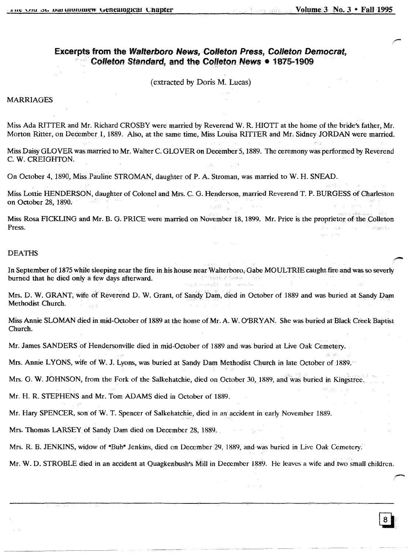. .

# Excerpts from the Walterboro News, Colleton Press, Colleton Democrat, Colleton Standard, and the Colleton News • 1875-1909

(extracted by Doris M. Lucas)

# MARRIAGES

Miss Ada RITTER and Mr. Richard CROSBY were married by Reverend W. R. HIOTT at the home of the bride's father, Mr. Morton Ritter, on December 1,1889. Also, at the same time, Miss Louisa RITTER and Mr, Sidney JORDAN were married.

Miss Daisy GLOVER was married to Mr. Walter C. GLOVER on December 5, 1889. The ceremony was performed by Reverend C. W. CREIGHTON.

On October 4,1890, Miss Pauline STROMAN, daughter of P. A. Stroman, was married to W. H. SNEAD.

Miss Lottie HENDERSON, daughter of Colonel and Mrs. C. G. Henderson, married Reverend T. P. BURGESS Of Charleston on October 28, 1890.

Miss Rosa FICKLING and Mr. B. G. PRICE were married on November 18, 1899. Mr. Price is the proprietor of the Colleton Press.

#### DEATHS

In September of 1875 while sleeping near the fire in his house near Walterboro, Gabe MOULTRIE caught fire and was so severly<br>burned that he died only a few days afterward burned that he died only a few days afterward. ing Kilat

Mrs. D. W. GRANT, wife of Reverend D. W. Grant, of Sandy Dam, died in October of 1889 and was buried at Sandy Dam Methodist Church.

Miss Annie SLOMAN died in mid-October of 1889 at the home of Mr. A. W. O'BRYAN. She was buried at Black Creek Baptist Church.

Mr. James SANDERS of Hendersonville died in mid-October of 1889 and was buried at Live Oak Cemetery.

Mrs. Annie LYONS, wife of W. J. Lyons, was buried at Sandy Dam Methodist Church in late October of 1889.

Mrs. G. W. JOHNSON, from the Fork of the Salkehatchie, died on October 30, 1889, and was buried in Kingstree.

Mr. H. R. STEPHENS and Mr. Tom ADAMS died in October of 1889.

Mr. Hary SPENCER, son of W. T. Spencer of Salkehatchie, died in an accident in early November 1889.

Mrs. Thomas LARSEY of Sandy Dam died on December 28, 1889.

Mrs. R. B. JENKINS, widow of "Bub" Jenkins, died on December 29, 1889, and was buried in Live Oak Cemetery.

Mr. W. D. STROBLE died in an accident at Quagkenbush's Mill in December 1889. He leaves a wife and two small children.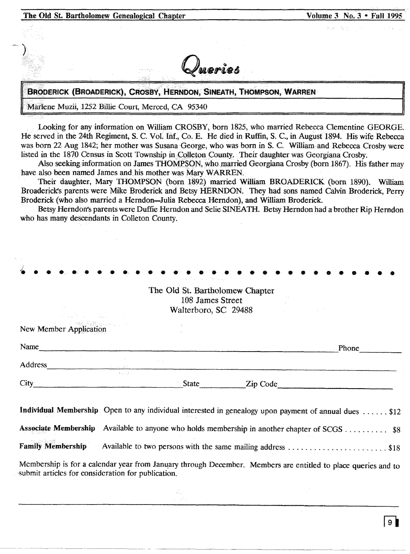| The Old St. Bartholomew Genealogical Chapter                       | Volume 3 No. 3 . Fall 1995 |
|--------------------------------------------------------------------|----------------------------|
|                                                                    | 「外庭の数え」 さんしょう にくぎょういく      |
| Queries                                                            |                            |
| BRODERICK (BROADERICK), CROSBY, HERNDON, SINEATH, THOMPSON, WARREN |                            |
| Marlene Muzii, 1252 Billie Court, Merced, CA 95340                 |                            |

Looking for any information on William CROSBY, born 1825, who married Rebecca Clementine GEORGE. He served in the 24th Regiment, S. C. Vol. Inf., Co. E. He died in Ruffin, S. C., in August 1894. His wife Rebecca was born 22 Aug 1842; her mother was Susana George, who was born in S. C. William and Rebecca Crosby were listed in the 1870 Census in Scott Township in Collecon County. Their daughter was Georgiana Crosby.

Also seeking information on James THOMPSON, who married Georgiana Crosby (born 1867). His father may have also been named James and his mother was Mary WARREN.

Their daughter, Mary THOMPSON (born 1892) married William BROADERICK (born 1890). William Broaderick's parents were Mike Broderick and Betsy HERNDON. They had sons named Calvin Broderick, Perry Broderick (who also married a Herndon-Julia Rebecca Herndon), and William Broderick.

Betsy Herndon's parents were Duffie Herndon and Selie SINEATH. Betsy Herndon had a brother Rip Herndon who has many descendants in Colleton County.

|                                                    | Provincial Constantino Art                                                  |                                                                                                               |
|----------------------------------------------------|-----------------------------------------------------------------------------|---------------------------------------------------------------------------------------------------------------|
|                                                    | The Old St. Bartholomew Chapter<br>108 James Street<br>Walterboro, SC 29488 |                                                                                                               |
| New Member Application                             |                                                                             |                                                                                                               |
| Name                                               |                                                                             | Phone                                                                                                         |
| Address                                            |                                                                             |                                                                                                               |
| $City$ <sub>__</sub>                               |                                                                             | State <u>Lip Code</u>                                                                                         |
|                                                    |                                                                             | Individual Membership Open to any individual interested in genealogy upon payment of annual dues  \$12        |
|                                                    |                                                                             | Associate Membership Available to anyone who holds membership in another chapter of SCGS  \$8                 |
|                                                    |                                                                             |                                                                                                               |
| submit articles for consideration for publication. |                                                                             | Membership is for a calendar year from January through December. Members are entitled to place queries and to |